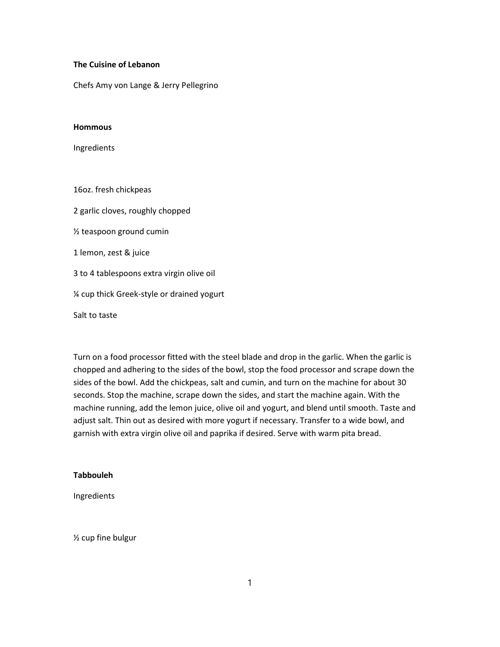## The Cuisine of Lebanon

Chefs Amy von Lange & Jerry Pellegrino

#### **Hommous**

Ingredients

16oz. fresh chickpeas 2 garlic cloves, roughly chopped ½ teaspoon ground cumin 1 lemon, zest & juice 3 to 4 tablespoons extra virgin olive oil ¼ cup thick Greek-style or drained yogurt Salt to taste

Turn on a food processor fitted with the steel blade and drop in the garlic. When the garlic is chopped and adhering to the sides of the bowl, stop the food processor and scrape down the sides of the bowl. Add the chickpeas, salt and cumin, and turn on the machine for about 30 seconds. Stop the machine, scrape down the sides, and start the machine again. With the machine running, add the lemon juice, olive oil and yogurt, and blend until smooth. Taste and adjust salt. Thin out as desired with more yogurt if necessary. Transfer to a wide bowl, and garnish with extra virgin olive oil and paprika if desired. Serve with warm pita bread.

## Tabbouleh

Ingredients

½ cup fine bulgur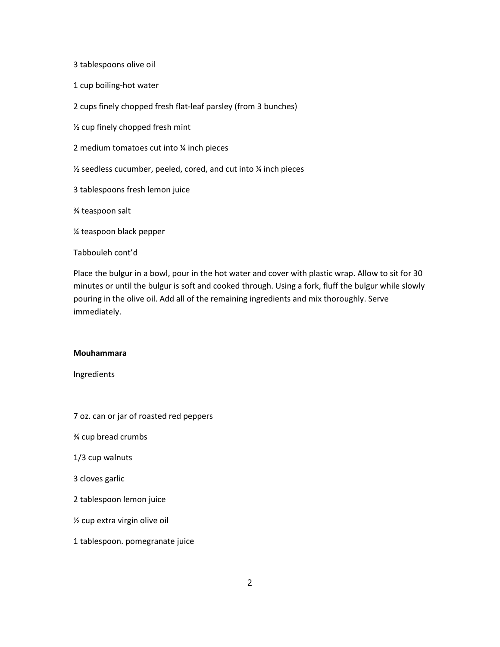3 tablespoons olive oil

1 cup boiling-hot water

2 cups finely chopped fresh flat-leaf parsley (from 3 bunches)

½ cup finely chopped fresh mint

2 medium tomatoes cut into ¼ inch pieces

½ seedless cucumber, peeled, cored, and cut into ¼ inch pieces

3 tablespoons fresh lemon juice

¾ teaspoon salt

¼ teaspoon black pepper

Tabbouleh cont'd

Place the bulgur in a bowl, pour in the hot water and cover with plastic wrap. Allow to sit for 30 minutes or until the bulgur is soft and cooked through. Using a fork, fluff the bulgur while slowly pouring in the olive oil. Add all of the remaining ingredients and mix thoroughly. Serve immediately.

## Mouhammara

Ingredients

7 oz. can or jar of roasted red peppers

¾ cup bread crumbs

1/3 cup walnuts

3 cloves garlic

2 tablespoon lemon juice

½ cup extra virgin olive oil

1 tablespoon. pomegranate juice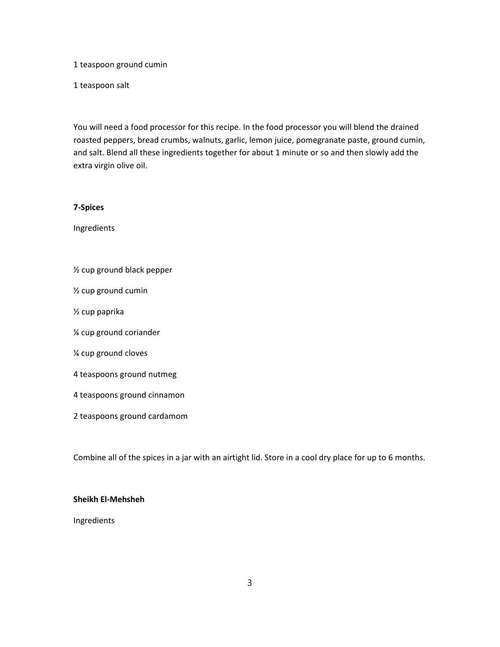1 teaspoon ground cumin

1 teaspoon salt

You will need a food processor for this recipe. In the food processor you will blend the drained roasted peppers, bread crumbs, walnuts, garlic, lemon juice, pomegranate paste, ground cumin, and salt. Blend all these ingredients together for about 1 minute or so and then slowly add the extra virgin olive oil.

#### 7-Spices

Ingredients

- ½ cup ground black pepper
- ½ cup ground cumin
- ½ cup paprika
- ¼ cup ground coriander
- ¼ cup ground cloves
- 4 teaspoons ground nutmeg
- 4 teaspoons ground cinnamon
- 2 teaspoons ground cardamom

Combine all of the spices in a jar with an airtight lid. Store in a cool dry place for up to 6 months.

## Sheikh El-Mehsheh

Ingredients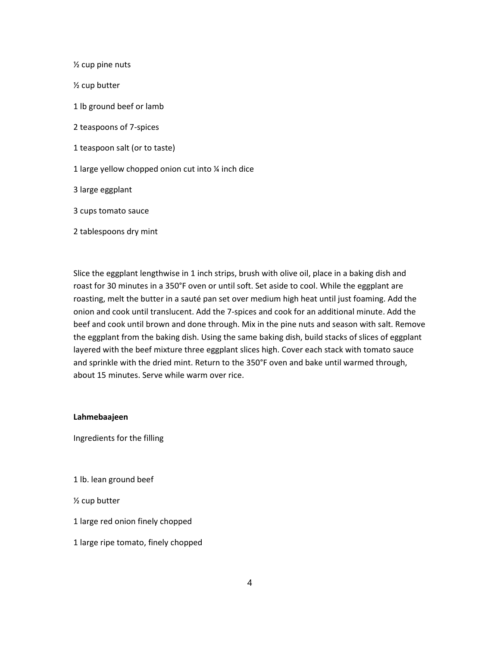½ cup pine nuts ½ cup butter 1 lb ground beef or lamb 2 teaspoons of 7-spices 1 teaspoon salt (or to taste) 1 large yellow chopped onion cut into ¼ inch dice 3 large eggplant 3 cups tomato sauce 2 tablespoons dry mint

Slice the eggplant lengthwise in 1 inch strips, brush with olive oil, place in a baking dish and roast for 30 minutes in a 350°F oven or until soft. Set aside to cool. While the eggplant are roasting, melt the butter in a sauté pan set over medium high heat until just foaming. Add the onion and cook until translucent. Add the 7-spices and cook for an additional minute. Add the beef and cook until brown and done through. Mix in the pine nuts and season with salt. Remove the eggplant from the baking dish. Using the same baking dish, build stacks of slices of eggplant layered with the beef mixture three eggplant slices high. Cover each stack with tomato sauce and sprinkle with the dried mint. Return to the 350°F oven and bake until warmed through, about 15 minutes. Serve while warm over rice.

Lahmebaajeen

Ingredients for the filling

1 lb. lean ground beef

½ cup butter

1 large red onion finely chopped

1 large ripe tomato, finely chopped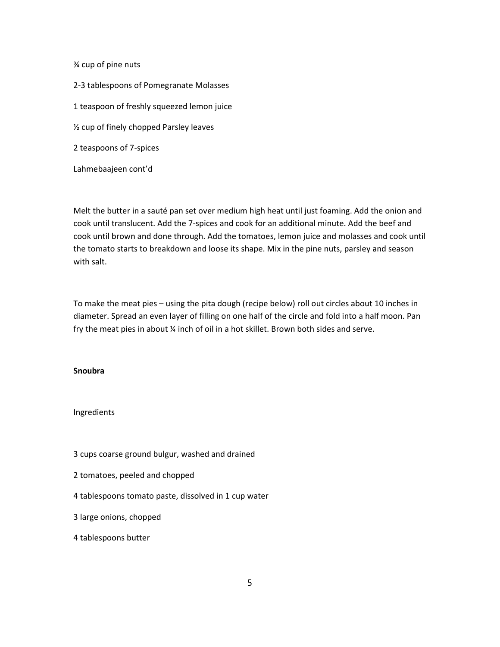¾ cup of pine nuts

2-3 tablespoons of Pomegranate Molasses

1 teaspoon of freshly squeezed lemon juice

½ cup of finely chopped Parsley leaves

2 teaspoons of 7-spices

Lahmebaajeen cont'd

Melt the butter in a sauté pan set over medium high heat until just foaming. Add the onion and cook until translucent. Add the 7-spices and cook for an additional minute. Add the beef and cook until brown and done through. Add the tomatoes, lemon juice and molasses and cook until the tomato starts to breakdown and loose its shape. Mix in the pine nuts, parsley and season with salt.

To make the meat pies – using the pita dough (recipe below) roll out circles about 10 inches in diameter. Spread an even layer of filling on one half of the circle and fold into a half moon. Pan fry the meat pies in about ¼ inch of oil in a hot skillet. Brown both sides and serve.

#### **Snoubra**

### Ingredients

3 cups coarse ground bulgur, washed and drained

- 2 tomatoes, peeled and chopped
- 4 tablespoons tomato paste, dissolved in 1 cup water
- 3 large onions, chopped
- 4 tablespoons butter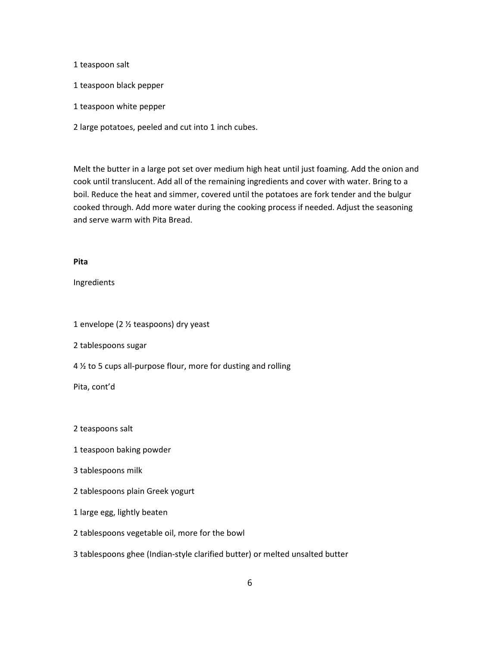#### 1 teaspoon salt

- 1 teaspoon black pepper
- 1 teaspoon white pepper
- 2 large potatoes, peeled and cut into 1 inch cubes.

Melt the butter in a large pot set over medium high heat until just foaming. Add the onion and cook until translucent. Add all of the remaining ingredients and cover with water. Bring to a boil. Reduce the heat and simmer, covered until the potatoes are fork tender and the bulgur cooked through. Add more water during the cooking process if needed. Adjust the seasoning and serve warm with Pita Bread.

# Pita

Ingredients

1 envelope (2 ½ teaspoons) dry yeast

2 tablespoons sugar

4 ½ to 5 cups all-purpose flour, more for dusting and rolling

Pita, cont'd

2 teaspoons salt

- 1 teaspoon baking powder
- 3 tablespoons milk

2 tablespoons plain Greek yogurt

1 large egg, lightly beaten

2 tablespoons vegetable oil, more for the bowl

3 tablespoons ghee (Indian-style clarified butter) or melted unsalted butter